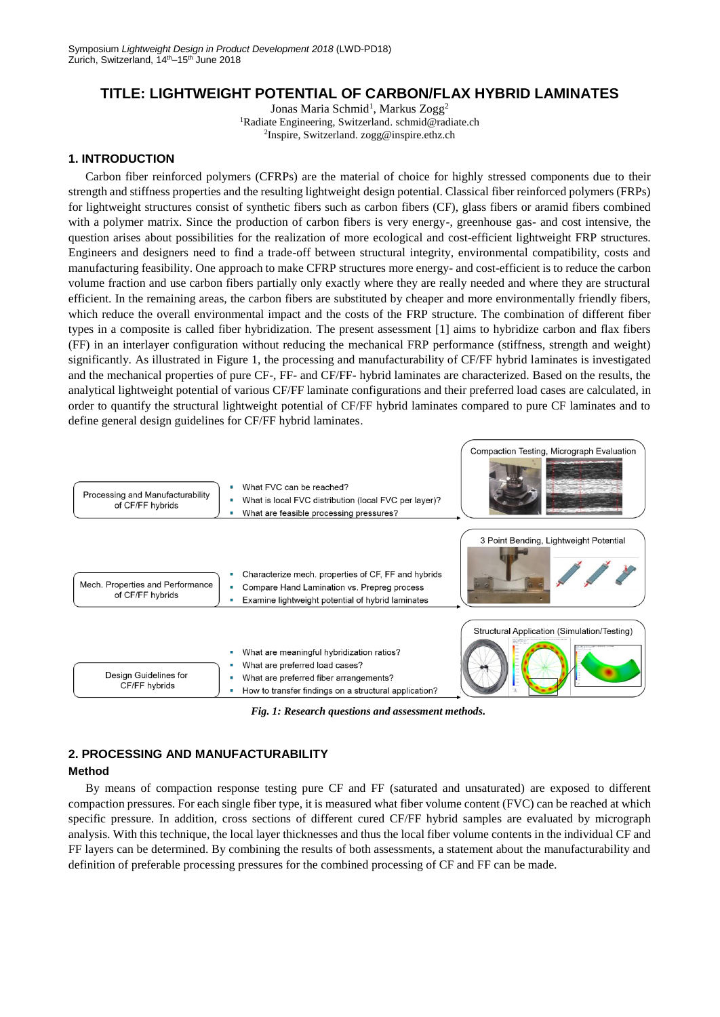# **TITLE: LIGHTWEIGHT POTENTIAL OF CARBON/FLAX HYBRID LAMINATES**

Jonas Maria Schmid<sup>1</sup>, Markus Zogg<sup>2</sup> <sup>1</sup>Radiate Engineering, Switzerland. schmid@radiate.ch 2 Inspire, Switzerland. zogg@inspire.ethz.ch

# **1. INTRODUCTION**

Carbon fiber reinforced polymers (CFRPs) are the material of choice for highly stressed components due to their strength and stiffness properties and the resulting lightweight design potential. Classical fiber reinforced polymers (FRPs) for lightweight structures consist of synthetic fibers such as carbon fibers (CF), glass fibers or aramid fibers combined with a polymer matrix. Since the production of carbon fibers is very energy-, greenhouse gas- and cost intensive, the question arises about possibilities for the realization of more ecological and cost-efficient lightweight FRP structures. Engineers and designers need to find a trade-off between structural integrity, environmental compatibility, costs and manufacturing feasibility. One approach to make CFRP structures more energy- and cost-efficient is to reduce the carbon volume fraction and use carbon fibers partially only exactly where they are really needed and where they are structural efficient. In the remaining areas, the carbon fibers are substituted by cheaper and more environmentally friendly fibers, which reduce the overall environmental impact and the costs of the FRP structure. The combination of different fiber types in a composite is called fiber hybridization. The present assessment [1] aims to hybridize carbon and flax fibers (FF) in an interlayer configuration without reducing the mechanical FRP performance (stiffness, strength and weight) significantly. As illustrated in Figure 1, the processing and manufacturability of CF/FF hybrid laminates is investigated and the mechanical properties of pure CF-, FF- and CF/FF- hybrid laminates are characterized. Based on the results, the analytical lightweight potential of various CF/FF laminate configurations and their preferred load cases are calculated, in order to quantify the structural lightweight potential of CF/FF hybrid laminates compared to pure CF laminates and to define general design guidelines for CF/FF hybrid laminates.



*Fig. 1: Research questions and assessment methods.*

# **2. PROCESSING AND MANUFACTURABILITY**

## **Method**

By means of compaction response testing pure CF and FF (saturated and unsaturated) are exposed to different compaction pressures. For each single fiber type, it is measured what fiber volume content (FVC) can be reached at which specific pressure. In addition, cross sections of different cured CF/FF hybrid samples are evaluated by micrograph analysis. With this technique, the local layer thicknesses and thus the local fiber volume contents in the individual CF and FF layers can be determined. By combining the results of both assessments, a statement about the manufacturability and definition of preferable processing pressures for the combined processing of CF and FF can be made.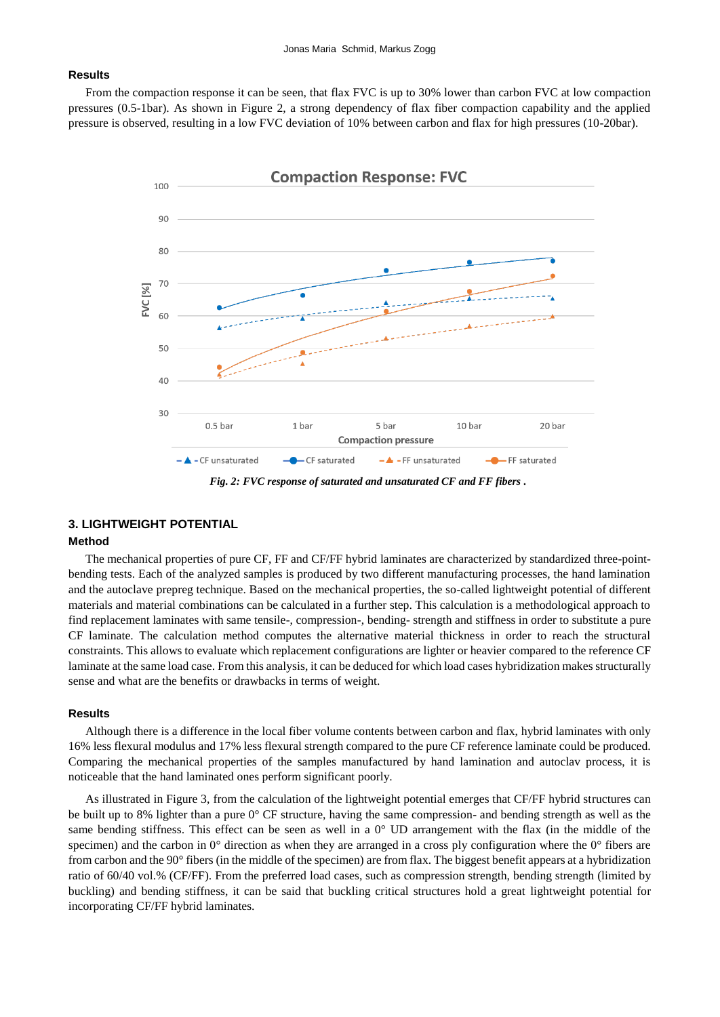## **Results**

From the compaction response it can be seen, that flax FVC is up to 30% lower than carbon FVC at low compaction pressures (0.5-1bar). As shown in Figure 2, a strong dependency of flax fiber compaction capability and the applied pressure is observed, resulting in a low FVC deviation of 10% between carbon and flax for high pressures (10-20bar).



*Fig. 2: FVC response of saturated and unsaturated CF and FF fibers .*

# **3. LIGHTWEIGHT POTENTIAL**

# **Method**

The mechanical properties of pure CF, FF and CF/FF hybrid laminates are characterized by standardized three-pointbending tests. Each of the analyzed samples is produced by two different manufacturing processes, the hand lamination and the autoclave prepreg technique. Based on the mechanical properties, the so-called lightweight potential of different materials and material combinations can be calculated in a further step. This calculation is a methodological approach to find replacement laminates with same tensile-, compression-, bending- strength and stiffness in order to substitute a pure CF laminate. The calculation method computes the alternative material thickness in order to reach the structural constraints. This allows to evaluate which replacement configurations are lighter or heavier compared to the reference CF laminate at the same load case. From this analysis, it can be deduced for which load cases hybridization makes structurally sense and what are the benefits or drawbacks in terms of weight.

### **Results**

Although there is a difference in the local fiber volume contents between carbon and flax, hybrid laminates with only 16% less flexural modulus and 17% less flexural strength compared to the pure CF reference laminate could be produced. Comparing the mechanical properties of the samples manufactured by hand lamination and autoclav process, it is noticeable that the hand laminated ones perform significant poorly.

As illustrated in Figure 3, from the calculation of the lightweight potential emerges that CF/FF hybrid structures can be built up to 8% lighter than a pure 0° CF structure, having the same compression- and bending strength as well as the same bending stiffness. This effect can be seen as well in a 0° UD arrangement with the flax (in the middle of the specimen) and the carbon in  $0^{\circ}$  direction as when they are arranged in a cross ply configuration where the  $0^{\circ}$  fibers are from carbon and the 90° fibers (in the middle of the specimen) are from flax. The biggest benefit appears at a hybridization ratio of 60/40 vol.% (CF/FF). From the preferred load cases, such as compression strength, bending strength (limited by buckling) and bending stiffness, it can be said that buckling critical structures hold a great lightweight potential for incorporating CF/FF hybrid laminates.